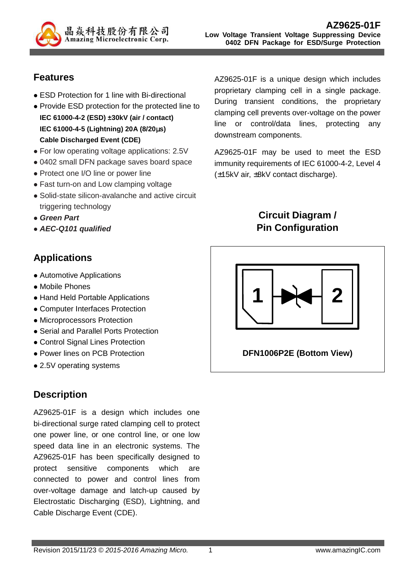

### **Features**

- ESD Protection for 1 line with Bi-directional
- Provide ESD protection for the protected line to **IEC 61000-4-2 (ESD) ±30kV (air / contact) IEC 61000-4-5 (Lightning) 20A (8/20**µ**s) Cable Discharged Event (CDE)**
- For low operating voltage applications: 2.5V
- 0402 small DFN package saves board space
- Protect one I/O line or power line
- Fast turn-on and Low clamping voltage
- Solid-state silicon-avalanche and active circuit triggering technology
- **Green Part**
- **AEC-Q101 qualified**

## **Applications**

- Automotive Applications
- Mobile Phones
- Hand Held Portable Applications
- Computer Interfaces Protection
- Microprocessors Protection
- Serial and Parallel Ports Protection
- Control Signal Lines Protection
- Power lines on PCB Protection
- 2.5V operating systems

### **Description**

AZ9625-01F is a design which includes one bi-directional surge rated clamping cell to protect one power line, or one control line, or one low speed data line in an electronic systems. The AZ9625-01F has been specifically designed to protect sensitive components which are connected to power and control lines from over-voltage damage and latch-up caused by Electrostatic Discharging (ESD), Lightning, and Cable Discharge Event (CDE).

AZ9625-01F is a unique design which includes proprietary clamping cell in a single package. During transient conditions, the proprietary clamping cell prevents over-voltage on the power line or control/data lines, protecting any downstream components.

AZ9625-01F may be used to meet the ESD immunity requirements of IEC 61000-4-2, Level 4 (±15kV air, ±8kV contact discharge).

## **Circuit Diagram / Pin Configuration**

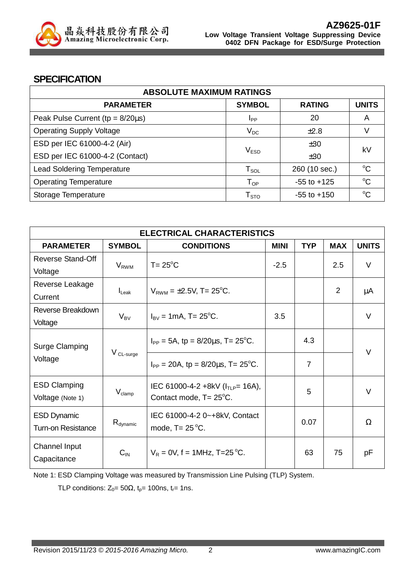

#### **SPECIFICATION**

| <b>ABSOLUTE MAXIMUM RATINGS</b>         |                                |                 |              |
|-----------------------------------------|--------------------------------|-----------------|--------------|
| <b>PARAMETER</b>                        | <b>SYMBOL</b>                  | <b>RATING</b>   | <b>UNITS</b> |
| Peak Pulse Current ( $tp = 8/20\mu s$ ) | <b>I</b> <sub>PP</sub>         | 20              | A            |
| <b>Operating Supply Voltage</b>         | $V_{DC}$                       | $\pm 2.8$       |              |
| ESD per IEC 61000-4-2 (Air)<br>±30      |                                |                 | kV           |
| ESD per IEC 61000-4-2 (Contact)         | V <sub>ESD</sub><br>±30        |                 |              |
| <b>Lead Soldering Temperature</b>       | ${\mathsf T}_{\text{\rm SOL}}$ | 260 (10 sec.)   | $\rm ^{o}C$  |
| <b>Operating Temperature</b>            | $T_{OP}$                       | $-55$ to $+125$ | $\rm ^{o}C$  |
| Storage Temperature                     | ${\mathsf T}_{\text{STO}}$     | $-55$ to $+150$ | $\rm ^{o}C$  |

| <b>ELECTRICAL CHARACTERISTICS</b>               |                      |                                                                  |             |                |                |              |
|-------------------------------------------------|----------------------|------------------------------------------------------------------|-------------|----------------|----------------|--------------|
| <b>PARAMETER</b>                                | <b>SYMBOL</b>        | <b>CONDITIONS</b>                                                | <b>MINI</b> | <b>TYP</b>     | <b>MAX</b>     | <b>UNITS</b> |
| <b>Reverse Stand-Off</b><br>Voltage             | $V_{RWM}$            | $T = 25^{\circ}C$                                                | $-2.5$      |                | 2.5            | $\vee$       |
| Reverse Leakage<br>Current                      | $I_{\text{Leak}}$    | $V_{RWM} = \pm 2.5V$ , T= 25°C.                                  |             |                | $\overline{2}$ | μA           |
| Reverse Breakdown<br>Voltage                    | $V_{BV}$             | $I_{\text{BV}} = 1 \text{mA}$ , T= 25 <sup>o</sup> C.            | 3.5         |                |                | $\vee$       |
| Surge Clamping<br>Voltage                       | V CL-surge           | $I_{PP} = 5A$ , tp = 8/20 $\mu$ s, T= 25 <sup>o</sup> C.         |             | 4.3            |                | $\vee$       |
|                                                 |                      | $I_{PP}$ = 20A, tp = 8/20 $\mu$ s, T= 25 <sup>o</sup> C.         |             | $\overline{7}$ |                |              |
| <b>ESD Clamping</b><br>Voltage (Note 1)         | $V_{\text{clamp}}$   | IEC 61000-4-2 +8kV ( $I_{TLP}$ = 16A),<br>Contact mode, T= 25°C. |             | 5              |                | $\vee$       |
| <b>ESD Dynamic</b><br><b>Turn-on Resistance</b> | $R_{\text{dynamic}}$ | IEC 61000-4-2 0~+8kV, Contact<br>mode, $T = 25^{\circ}C$ .       |             | 0.07           |                | Ω            |
| Channel Input<br>Capacitance                    | $C_{IN}$             | $V_R = 0V$ , f = 1MHz, T=25 °C.                                  |             | 63             | 75             | рF           |

Note 1: ESD Clamping Voltage was measured by Transmission Line Pulsing (TLP) System.

TLP conditions:  $Z_0 = 50\Omega$ ,  $t_p = 100$ ns,  $t_r = 1$ ns.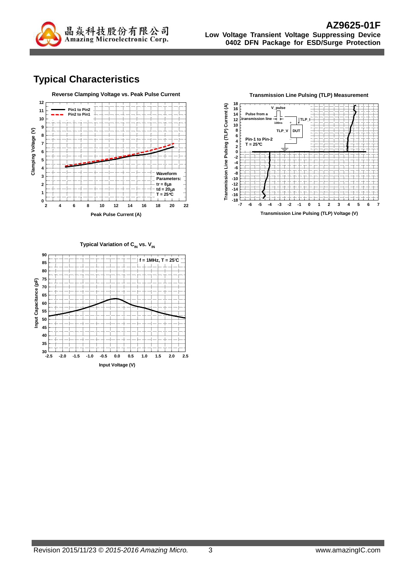

# **Typical Characteristics**





**Transmission Line Pulsing (TLP) Measurement**

**Typical Variation of C<sub>IN</sub> vs. V<sub>IN</sub>** 

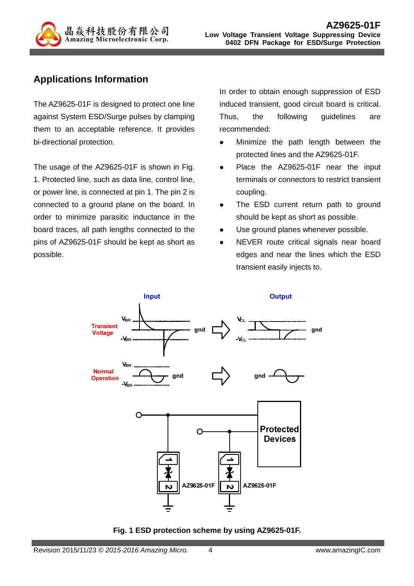

## **Applications Information**

The AZ9625-01F is designed to protect one line against System ESD/Surge pulses by clamping them to an acceptable reference. It provides bi-directional protection.

The usage of the AZ9625-01F is shown in Fig. 1. Protected line, such as data line, control line, or power line, is connected at pin 1. The pin 2 is connected to a ground plane on the board. In order to minimize parasitic inductance in the board traces, all path lengths connected to the pins of AZ9625-01F should be kept as short as possible.

In order to obtain enough suppression of ESD induced transient, good circuit board is critical. Thus, the following guidelines are recommended:

- Minimize the path length between the protected lines and the AZ9625-01F.
- Place the AZ9625-01F near the input terminals or connectors to restrict transient coupling.
- The ESD current return path to ground should be kept as short as possible.
- Use ground planes whenever possible.
- NEVER route critical signals near board edges and near the lines which the ESD transient easily injects to.



**Fig. 1 ESD protection scheme by using AZ9625-01F.**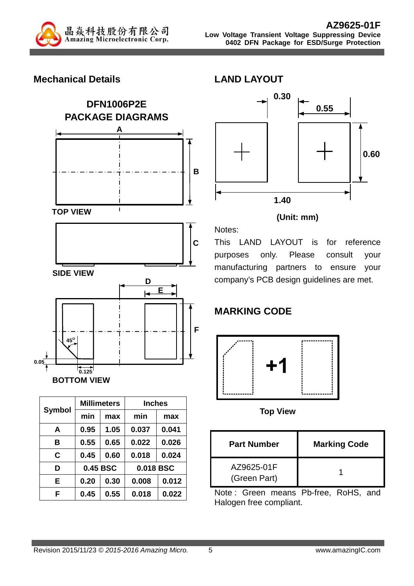

#### **Mechanical Details**





|               |          | <b>Millimeters</b> | <b>Inches</b> |       |
|---------------|----------|--------------------|---------------|-------|
| <b>Symbol</b> | min      | max                | min           | max   |
| A             | 0.95     | 1.05               | 0.037         | 0.041 |
| в             | 0.55     | 0.65               | 0.022         | 0.026 |
| C             | 0.45     | 0.60               | 0.018         | 0.024 |
| D             | 0.45 BSC |                    | 0.018 BSC     |       |
| Е             | 0.20     | 0.30               | 0.008         | 0.012 |
| F             | 0.45     | 0.55               | 0.018         | 0.022 |



#### **(Unit: mm)**

This LAND LAYOUT is for reference purposes only. Please consult your manufacturing partners to ensure your company's PCB design guidelines are met.

# **MARKING CODE**



**Top View**

| <b>Part Number</b>         | <b>Marking Code</b> |
|----------------------------|---------------------|
| AZ9625-01F<br>(Green Part) |                     |

Note : Green means Pb-free, RoHS, and Halogen free compliant.